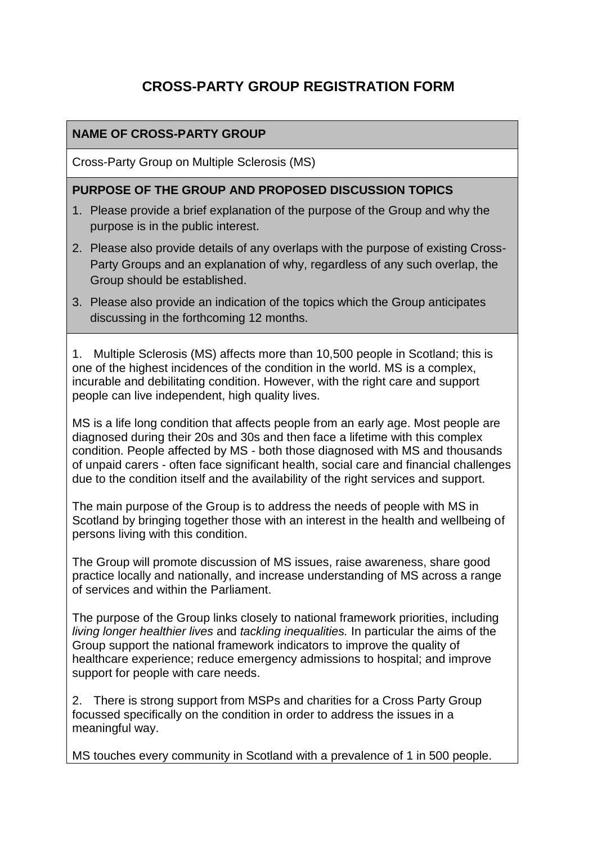# **CROSS-PARTY GROUP REGISTRATION FORM**

#### **NAME OF CROSS-PARTY GROUP**

Cross-Party Group on Multiple Sclerosis (MS)

#### **PURPOSE OF THE GROUP AND PROPOSED DISCUSSION TOPICS**

- 1. Please provide a brief explanation of the purpose of the Group and why the purpose is in the public interest.
- 2. Please also provide details of any overlaps with the purpose of existing Cross-Party Groups and an explanation of why, regardless of any such overlap, the Group should be established.
- 3. Please also provide an indication of the topics which the Group anticipates discussing in the forthcoming 12 months.

1. Multiple Sclerosis (MS) affects more than 10,500 people in Scotland; this is one of the highest incidences of the condition in the world. MS is a complex, incurable and debilitating condition. However, with the right care and support people can live independent, high quality lives.

MS is a life long condition that affects people from an early age. Most people are diagnosed during their 20s and 30s and then face a lifetime with this complex condition. People affected by MS - both those diagnosed with MS and thousands of unpaid carers - often face significant health, social care and financial challenges due to the condition itself and the availability of the right services and support.

The main purpose of the Group is to address the needs of people with MS in Scotland by bringing together those with an interest in the health and wellbeing of persons living with this condition.

The Group will promote discussion of MS issues, raise awareness, share good practice locally and nationally, and increase understanding of MS across a range of services and within the Parliament.

The purpose of the Group links closely to national framework priorities, including *living longer healthier lives* and *tackling inequalities.* In particular the aims of the Group support the national framework indicators to improve the quality of healthcare experience; reduce emergency admissions to hospital; and improve support for people with care needs.

2. There is strong support from MSPs and charities for a Cross Party Group focussed specifically on the condition in order to address the issues in a meaningful way.

MS touches every community in Scotland with a prevalence of 1 in 500 people.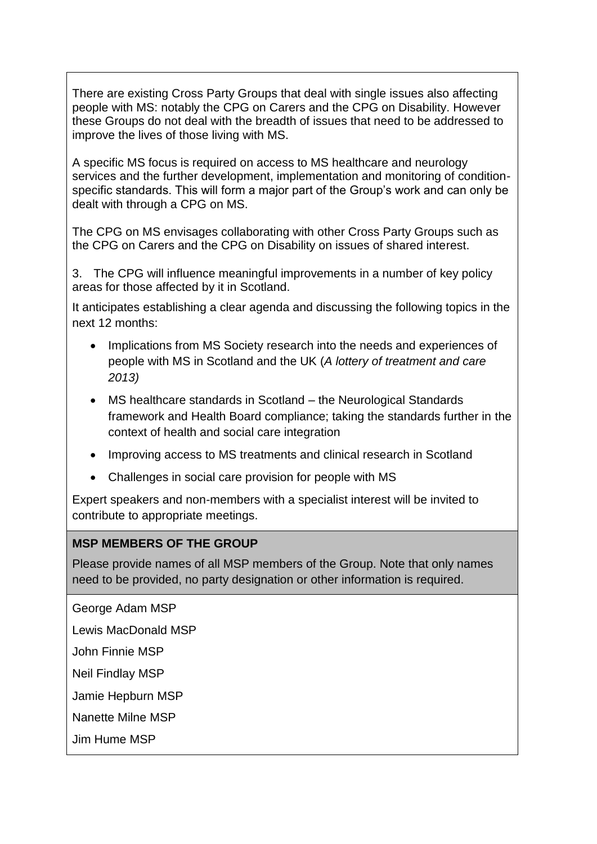There are existing Cross Party Groups that deal with single issues also affecting people with MS: notably the CPG on Carers and the CPG on Disability. However these Groups do not deal with the breadth of issues that need to be addressed to improve the lives of those living with MS.

A specific MS focus is required on access to MS healthcare and neurology services and the further development, implementation and monitoring of conditionspecific standards. This will form a major part of the Group's work and can only be dealt with through a CPG on MS.

The CPG on MS envisages collaborating with other Cross Party Groups such as the CPG on Carers and the CPG on Disability on issues of shared interest.

3. The CPG will influence meaningful improvements in a number of key policy areas for those affected by it in Scotland.

It anticipates establishing a clear agenda and discussing the following topics in the next 12 months:

- Implications from MS Society research into the needs and experiences of people with MS in Scotland and the UK (*A lottery of treatment and care 2013)*
- MS healthcare standards in Scotland the Neurological Standards framework and Health Board compliance; taking the standards further in the context of health and social care integration
- Improving access to MS treatments and clinical research in Scotland
- Challenges in social care provision for people with MS

Expert speakers and non-members with a specialist interest will be invited to contribute to appropriate meetings.

#### **MSP MEMBERS OF THE GROUP**

Please provide names of all MSP members of the Group. Note that only names need to be provided, no party designation or other information is required.

George Adam MSP

Lewis MacDonald MSP

John Finnie MSP

Neil Findlay MSP

Jamie Hepburn MSP

Nanette Milne MSP

Jim Hume MSP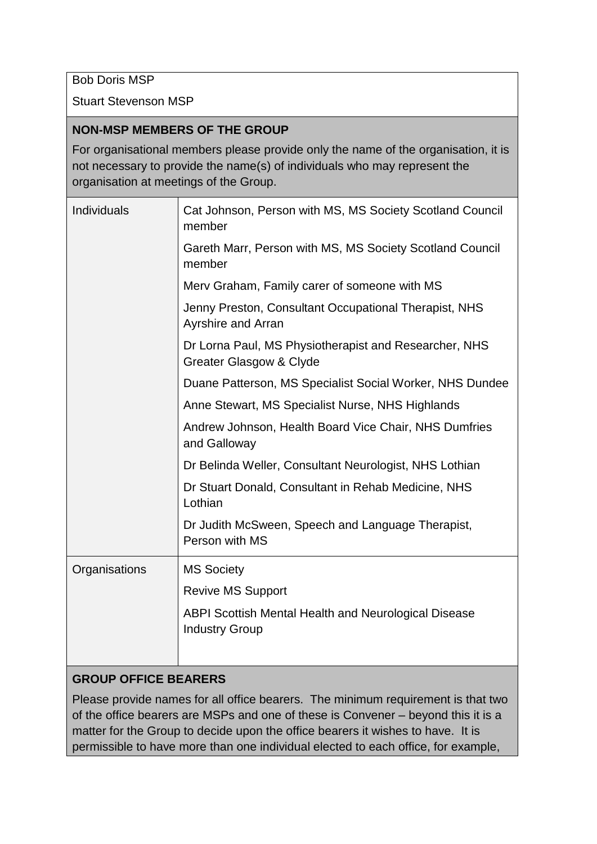Bob Doris MSP

Stuart Stevenson MSP

#### **NON-MSP MEMBERS OF THE GROUP**

For organisational members please provide only the name of the organisation, it is not necessary to provide the name(s) of individuals who may represent the organisation at meetings of the Group.

| Individuals   | Cat Johnson, Person with MS, MS Society Scotland Council<br>member                   |
|---------------|--------------------------------------------------------------------------------------|
|               | Gareth Marr, Person with MS, MS Society Scotland Council<br>member                   |
|               | Merv Graham, Family carer of someone with MS                                         |
|               | Jenny Preston, Consultant Occupational Therapist, NHS<br>Ayrshire and Arran          |
|               | Dr Lorna Paul, MS Physiotherapist and Researcher, NHS<br>Greater Glasgow & Clyde     |
|               | Duane Patterson, MS Specialist Social Worker, NHS Dundee                             |
|               | Anne Stewart, MS Specialist Nurse, NHS Highlands                                     |
|               | Andrew Johnson, Health Board Vice Chair, NHS Dumfries<br>and Galloway                |
|               | Dr Belinda Weller, Consultant Neurologist, NHS Lothian                               |
|               | Dr Stuart Donald, Consultant in Rehab Medicine, NHS<br>Lothian                       |
|               | Dr Judith McSween, Speech and Language Therapist,<br>Person with MS                  |
| Organisations | <b>MS Society</b>                                                                    |
|               | <b>Revive MS Support</b>                                                             |
|               | <b>ABPI Scottish Mental Health and Neurological Disease</b><br><b>Industry Group</b> |
|               |                                                                                      |

## **GROUP OFFICE BEARERS**

Please provide names for all office bearers. The minimum requirement is that two of the office bearers are MSPs and one of these is Convener – beyond this it is a matter for the Group to decide upon the office bearers it wishes to have. It is permissible to have more than one individual elected to each office, for example,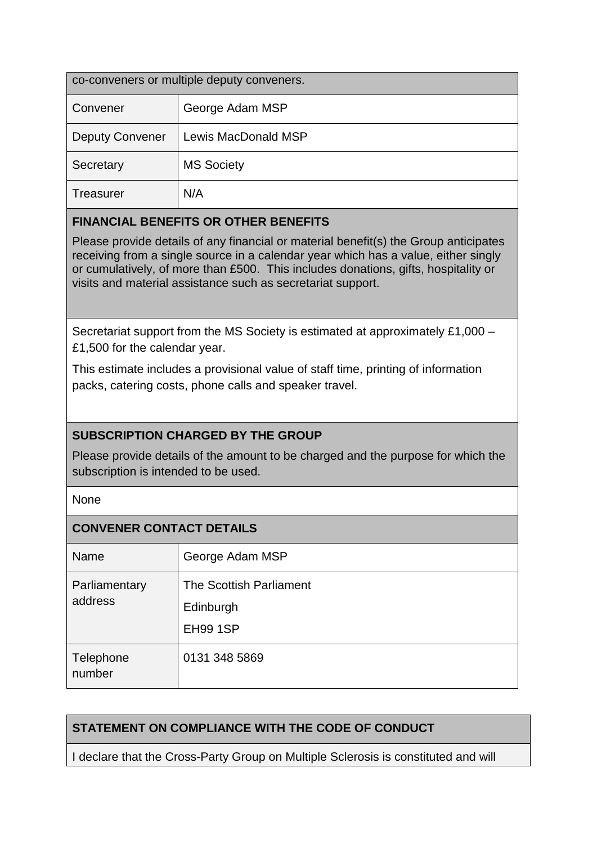| co-conveners or multiple deputy conveners. |                     |  |
|--------------------------------------------|---------------------|--|
| Convener                                   | George Adam MSP     |  |
| <b>Deputy Convener</b>                     | Lewis MacDonald MSP |  |
| Secretary                                  | <b>MS Society</b>   |  |
| <b>Treasurer</b>                           | N/A                 |  |

## **FINANCIAL BENEFITS OR OTHER BENEFITS**

Please provide details of any financial or material benefit(s) the Group anticipates receiving from a single source in a calendar year which has a value, either singly or cumulatively, of more than £500. This includes donations, gifts, hospitality or visits and material assistance such as secretariat support.

Secretariat support from the MS Society is estimated at approximately £1,000 – £1,500 for the calendar year.

This estimate includes a provisional value of staff time, printing of information packs, catering costs, phone calls and speaker travel.

## **SUBSCRIPTION CHARGED BY THE GROUP**

Please provide details of the amount to be charged and the purpose for which the subscription is intended to be used.

None

## **CONVENER CONTACT DETAILS**

| <b>Name</b>              | George Adam MSP         |
|--------------------------|-------------------------|
| Parliamentary<br>address | The Scottish Parliament |
|                          | Edinburgh               |
|                          | <b>EH99 1SP</b>         |
| Telephone<br>number      | 0131 348 5869           |

## **STATEMENT ON COMPLIANCE WITH THE CODE OF CONDUCT**

I declare that the Cross-Party Group on Multiple Sclerosis is constituted and will